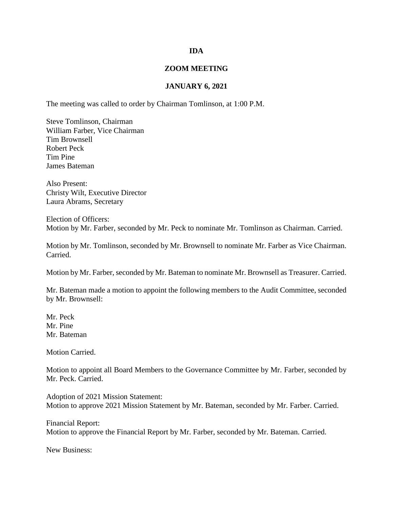## **IDA**

## **ZOOM MEETING**

## **JANUARY 6, 2021**

The meeting was called to order by Chairman Tomlinson, at 1:00 P.M.

Steve Tomlinson, Chairman William Farber, Vice Chairman Tim Brownsell Robert Peck Tim Pine James Bateman

Also Present: Christy Wilt, Executive Director Laura Abrams, Secretary

Election of Officers: Motion by Mr. Farber, seconded by Mr. Peck to nominate Mr. Tomlinson as Chairman. Carried.

Motion by Mr. Tomlinson, seconded by Mr. Brownsell to nominate Mr. Farber as Vice Chairman. Carried.

Motion by Mr. Farber, seconded by Mr. Bateman to nominate Mr. Brownsell as Treasurer. Carried.

Mr. Bateman made a motion to appoint the following members to the Audit Committee, seconded by Mr. Brownsell:

Mr. Peck Mr. Pine Mr. Bateman

Motion Carried.

Motion to appoint all Board Members to the Governance Committee by Mr. Farber, seconded by Mr. Peck. Carried.

Adoption of 2021 Mission Statement: Motion to approve 2021 Mission Statement by Mr. Bateman, seconded by Mr. Farber. Carried.

Financial Report: Motion to approve the Financial Report by Mr. Farber, seconded by Mr. Bateman. Carried.

New Business: